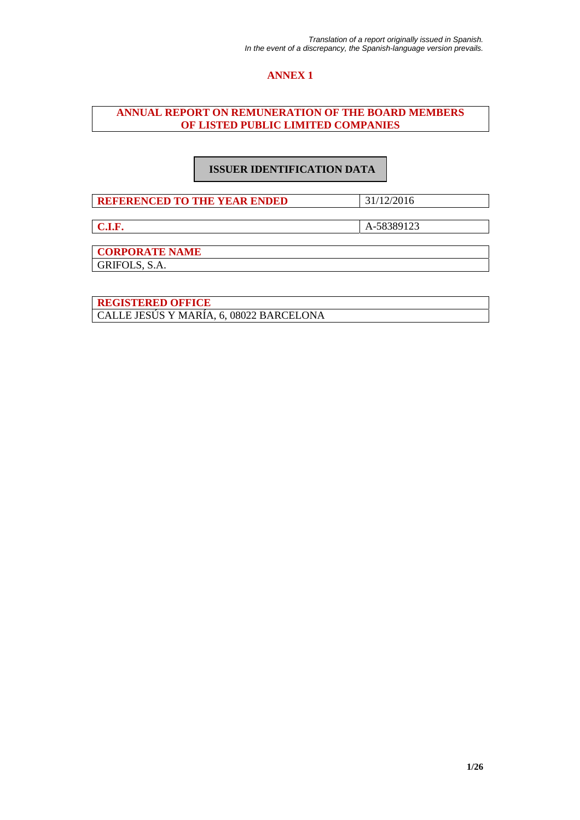# **ANNEX 1**

# **ANNUAL REPORT ON REMUNERATION OF THE BOARD MEMBERS OF LISTED PUBLIC LIMITED COMPANIES**

# **ISSUER IDENTIFICATION DATA**

**REFERENCED TO THE YEAR ENDED** 31/12/2016

**C.I.F.** A-58389123

**CORPORATE NAME** 

GRIFOLS, S.A.

**REGISTERED OFFICE**  CALLE JESÚS Y MARÍA, 6, 08022 BARCELONA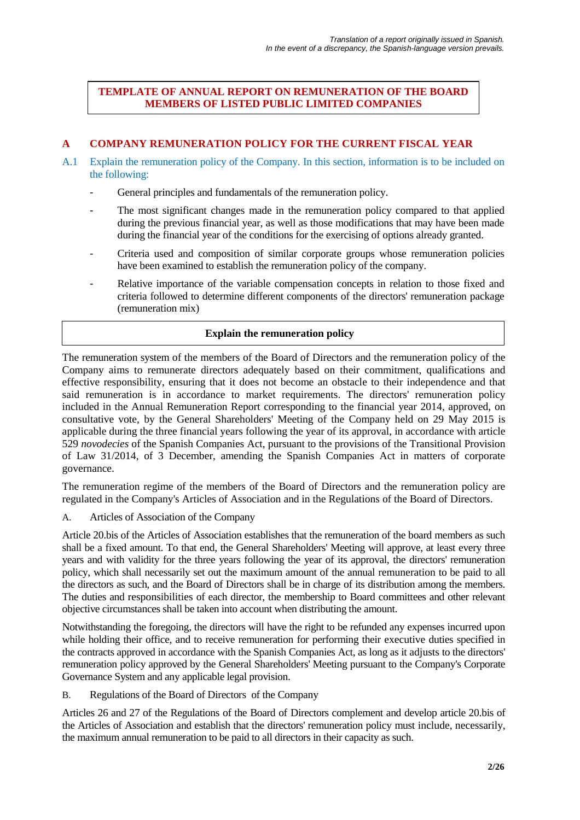# **TEMPLATE OF ANNUAL REPORT ON REMUNERATION OF THE BOARD MEMBERS OF LISTED PUBLIC LIMITED COMPANIES**

# **A COMPANY REMUNERATION POLICY FOR THE CURRENT FISCAL YEAR**

- A.1 Explain the remuneration policy of the Company. In this section, information is to be included on the following:
	- General principles and fundamentals of the remuneration policy.
	- The most significant changes made in the remuneration policy compared to that applied during the previous financial year, as well as those modifications that may have been made during the financial year of the conditions for the exercising of options already granted.
	- Criteria used and composition of similar corporate groups whose remuneration policies have been examined to establish the remuneration policy of the company.
	- Relative importance of the variable compensation concepts in relation to those fixed and criteria followed to determine different components of the directors' remuneration package (remuneration mix)

### **Explain the remuneration policy**

The remuneration system of the members of the Board of Directors and the remuneration policy of the Company aims to remunerate directors adequately based on their commitment, qualifications and effective responsibility, ensuring that it does not become an obstacle to their independence and that said remuneration is in accordance to market requirements. The directors' remuneration policy included in the Annual Remuneration Report corresponding to the financial year 2014, approved, on consultative vote, by the General Shareholders' Meeting of the Company held on 29 May 2015 is applicable during the three financial years following the year of its approval, in accordance with article 529 *novodecies* of the Spanish Companies Act, pursuant to the provisions of the Transitional Provision of Law 31/2014, of 3 December, amending the Spanish Companies Act in matters of corporate governance.

The remuneration regime of the members of the Board of Directors and the remuneration policy are regulated in the Company's Articles of Association and in the Regulations of the Board of Directors.

A. Articles of Association of the Company

Article 20.bis of the Articles of Association establishes that the remuneration of the board members as such shall be a fixed amount. To that end, the General Shareholders' Meeting will approve, at least every three years and with validity for the three years following the year of its approval, the directors' remuneration policy, which shall necessarily set out the maximum amount of the annual remuneration to be paid to all the directors as such, and the Board of Directors shall be in charge of its distribution among the members. The duties and responsibilities of each director, the membership to Board committees and other relevant objective circumstances shall be taken into account when distributing the amount.

Notwithstanding the foregoing, the directors will have the right to be refunded any expenses incurred upon while holding their office, and to receive remuneration for performing their executive duties specified in the contracts approved in accordance with the Spanish Companies Act, as long as it adjusts to the directors' remuneration policy approved by the General Shareholders' Meeting pursuant to the Company's Corporate Governance System and any applicable legal provision.

B. Regulations of the Board of Directors of the Company

Articles 26 and 27 of the Regulations of the Board of Directors complement and develop article 20.bis of the Articles of Association and establish that the directors' remuneration policy must include, necessarily, the maximum annual remuneration to be paid to all directors in their capacity as such.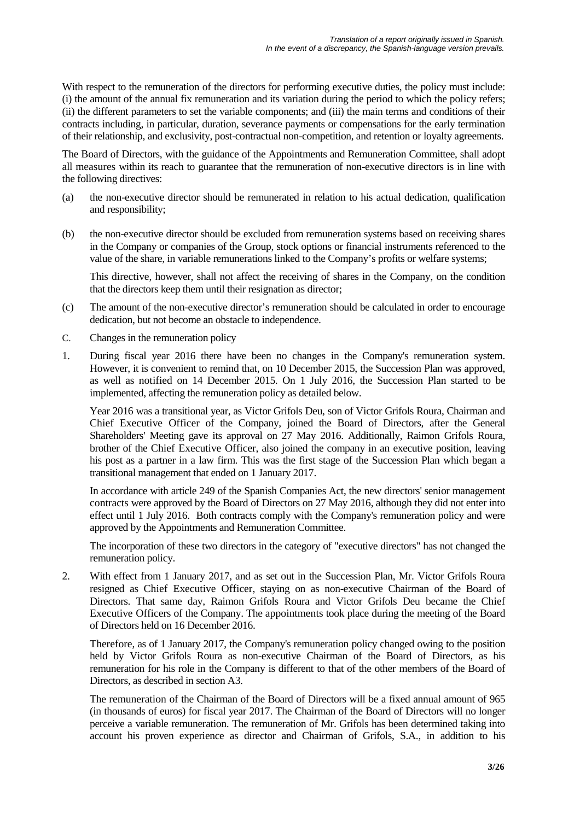With respect to the remuneration of the directors for performing executive duties, the policy must include: (i) the amount of the annual fix remuneration and its variation during the period to which the policy refers; (ii) the different parameters to set the variable components; and (iii) the main terms and conditions of their contracts including, in particular, duration, severance payments or compensations for the early termination of their relationship, and exclusivity, post-contractual non-competition, and retention or loyalty agreements.

The Board of Directors, with the guidance of the Appointments and Remuneration Committee, shall adopt all measures within its reach to guarantee that the remuneration of non-executive directors is in line with the following directives:

- (a) the non-executive director should be remunerated in relation to his actual dedication, qualification and responsibility;
- (b) the non-executive director should be excluded from remuneration systems based on receiving shares in the Company or companies of the Group, stock options or financial instruments referenced to the value of the share, in variable remunerations linked to the Company's profits or welfare systems;

This directive, however, shall not affect the receiving of shares in the Company, on the condition that the directors keep them until their resignation as director;

- (c) The amount of the non-executive director's remuneration should be calculated in order to encourage dedication, but not become an obstacle to independence.
- C. Changes in the remuneration policy
- 1. During fiscal year 2016 there have been no changes in the Company's remuneration system. However, it is convenient to remind that, on 10 December 2015, the Succession Plan was approved, as well as notified on 14 December 2015. On 1 July 2016, the Succession Plan started to be implemented, affecting the remuneration policy as detailed below.

Year 2016 was a transitional year, as Victor Grifols Deu, son of Victor Grifols Roura, Chairman and Chief Executive Officer of the Company, joined the Board of Directors, after the General Shareholders' Meeting gave its approval on 27 May 2016. Additionally, Raimon Grifols Roura, brother of the Chief Executive Officer, also joined the company in an executive position, leaving his post as a partner in a law firm. This was the first stage of the Succession Plan which began a transitional management that ended on 1 January 2017.

In accordance with article 249 of the Spanish Companies Act, the new directors' senior management contracts were approved by the Board of Directors on 27 May 2016, although they did not enter into effect until 1 July 2016. Both contracts comply with the Company's remuneration policy and were approved by the Appointments and Remuneration Committee.

The incorporation of these two directors in the category of "executive directors" has not changed the remuneration policy.

2. With effect from 1 January 2017, and as set out in the Succession Plan, Mr. Victor Grifols Roura resigned as Chief Executive Officer, staying on as non-executive Chairman of the Board of Directors. That same day, Raimon Grifols Roura and Victor Grifols Deu became the Chief Executive Officers of the Company. The appointments took place during the meeting of the Board of Directors held on 16 December 2016.

Therefore, as of 1 January 2017, the Company's remuneration policy changed owing to the position held by Victor Grifols Roura as non-executive Chairman of the Board of Directors, as his remuneration for his role in the Company is different to that of the other members of the Board of Directors, as described in section A3.

The remuneration of the Chairman of the Board of Directors will be a fixed annual amount of 965 (in thousands of euros) for fiscal year 2017. The Chairman of the Board of Directors will no longer perceive a variable remuneration. The remuneration of Mr. Grifols has been determined taking into account his proven experience as director and Chairman of Grifols, S.A., in addition to his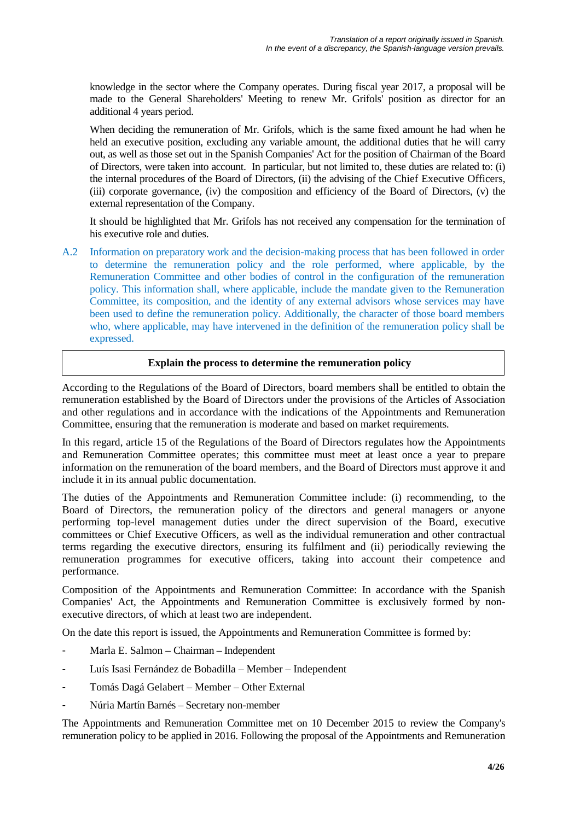knowledge in the sector where the Company operates. During fiscal year 2017, a proposal will be made to the General Shareholders' Meeting to renew Mr. Grifols' position as director for an additional 4 years period.

When deciding the remuneration of Mr. Grifols, which is the same fixed amount he had when he held an executive position, excluding any variable amount, the additional duties that he will carry out, as well as those set out in the Spanish Companies' Act for the position of Chairman of the Board of Directors, were taken into account. In particular, but not limited to, these duties are related to: (i) the internal procedures of the Board of Directors, (ii) the advising of the Chief Executive Officers, (iii) corporate governance, (iv) the composition and efficiency of the Board of Directors, (v) the external representation of the Company.

It should be highlighted that Mr. Grifols has not received any compensation for the termination of his executive role and duties.

A.2 Information on preparatory work and the decision-making process that has been followed in order to determine the remuneration policy and the role performed, where applicable, by the Remuneration Committee and other bodies of control in the configuration of the remuneration policy. This information shall, where applicable, include the mandate given to the Remuneration Committee, its composition, and the identity of any external advisors whose services may have been used to define the remuneration policy. Additionally, the character of those board members who, where applicable, may have intervened in the definition of the remuneration policy shall be expressed.

### **Explain the process to determine the remuneration policy**

According to the Regulations of the Board of Directors, board members shall be entitled to obtain the remuneration established by the Board of Directors under the provisions of the Articles of Association and other regulations and in accordance with the indications of the Appointments and Remuneration Committee, ensuring that the remuneration is moderate and based on market requirements.

In this regard, article 15 of the Regulations of the Board of Directors regulates how the Appointments and Remuneration Committee operates; this committee must meet at least once a year to prepare information on the remuneration of the board members, and the Board of Directors must approve it and include it in its annual public documentation.

The duties of the Appointments and Remuneration Committee include: (i) recommending, to the Board of Directors, the remuneration policy of the directors and general managers or anyone performing top-level management duties under the direct supervision of the Board, executive committees or Chief Executive Officers, as well as the individual remuneration and other contractual terms regarding the executive directors, ensuring its fulfilment and (ii) periodically reviewing the remuneration programmes for executive officers, taking into account their competence and performance.

Composition of the Appointments and Remuneration Committee: In accordance with the Spanish Companies' Act, the Appointments and Remuneration Committee is exclusively formed by nonexecutive directors, of which at least two are independent.

On the date this report is issued, the Appointments and Remuneration Committee is formed by:

- Marla E. Salmon Chairman Independent
- Luís Isasi Fernández de Bobadilla Member Independent
- Tomás Dagá Gelabert Member Other External
- Núria Martín Barnés Secretary non-member

The Appointments and Remuneration Committee met on 10 December 2015 to review the Company's remuneration policy to be applied in 2016. Following the proposal of the Appointments and Remuneration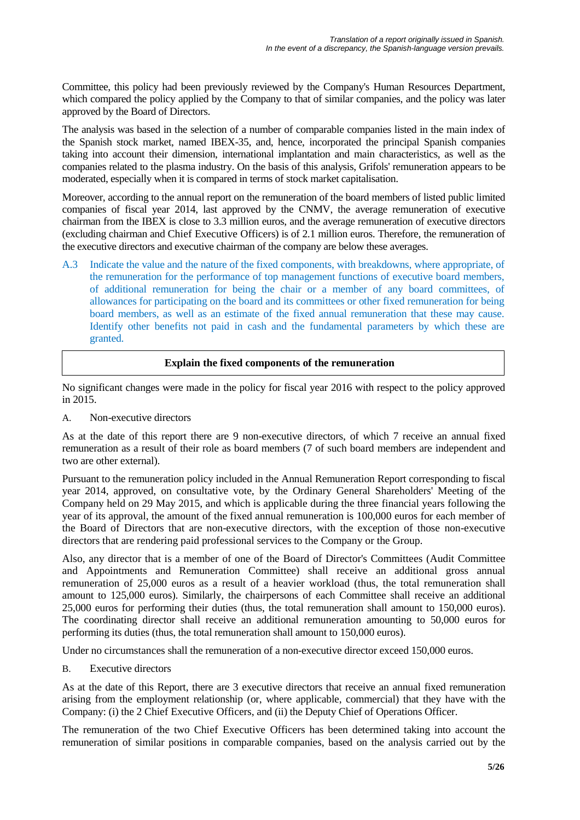Committee, this policy had been previously reviewed by the Company's Human Resources Department, which compared the policy applied by the Company to that of similar companies, and the policy was later approved by the Board of Directors.

The analysis was based in the selection of a number of comparable companies listed in the main index of the Spanish stock market, named IBEX-35, and, hence, incorporated the principal Spanish companies taking into account their dimension, international implantation and main characteristics, as well as the companies related to the plasma industry. On the basis of this analysis, Grifols' remuneration appears to be moderated, especially when it is compared in terms of stock market capitalisation.

Moreover, according to the annual report on the remuneration of the board members of listed public limited companies of fiscal year 2014, last approved by the CNMV, the average remuneration of executive chairman from the IBEX is close to 3.3 million euros, and the average remuneration of executive directors (excluding chairman and Chief Executive Officers) is of 2.1 million euros. Therefore, the remuneration of the executive directors and executive chairman of the company are below these averages.

A.3 Indicate the value and the nature of the fixed components, with breakdowns, where appropriate, of the remuneration for the performance of top management functions of executive board members, of additional remuneration for being the chair or a member of any board committees, of allowances for participating on the board and its committees or other fixed remuneration for being board members, as well as an estimate of the fixed annual remuneration that these may cause. Identify other benefits not paid in cash and the fundamental parameters by which these are granted.

# **Explain the fixed components of the remuneration**

No significant changes were made in the policy for fiscal year 2016 with respect to the policy approved in 2015.

A. Non-executive directors

As at the date of this report there are 9 non-executive directors, of which 7 receive an annual fixed remuneration as a result of their role as board members (7 of such board members are independent and two are other external).

Pursuant to the remuneration policy included in the Annual Remuneration Report corresponding to fiscal year 2014, approved, on consultative vote, by the Ordinary General Shareholders' Meeting of the Company held on 29 May 2015, and which is applicable during the three financial years following the year of its approval, the amount of the fixed annual remuneration is 100,000 euros for each member of the Board of Directors that are non-executive directors, with the exception of those non-executive directors that are rendering paid professional services to the Company or the Group.

Also, any director that is a member of one of the Board of Director's Committees (Audit Committee and Appointments and Remuneration Committee) shall receive an additional gross annual remuneration of 25,000 euros as a result of a heavier workload (thus, the total remuneration shall amount to 125,000 euros). Similarly, the chairpersons of each Committee shall receive an additional 25,000 euros for performing their duties (thus, the total remuneration shall amount to 150,000 euros). The coordinating director shall receive an additional remuneration amounting to 50,000 euros for performing its duties (thus, the total remuneration shall amount to 150,000 euros).

Under no circumstances shall the remuneration of a non-executive director exceed 150,000 euros.

B. Executive directors

As at the date of this Report, there are 3 executive directors that receive an annual fixed remuneration arising from the employment relationship (or, where applicable, commercial) that they have with the Company: (i) the 2 Chief Executive Officers, and (ii) the Deputy Chief of Operations Officer.

The remuneration of the two Chief Executive Officers has been determined taking into account the remuneration of similar positions in comparable companies, based on the analysis carried out by the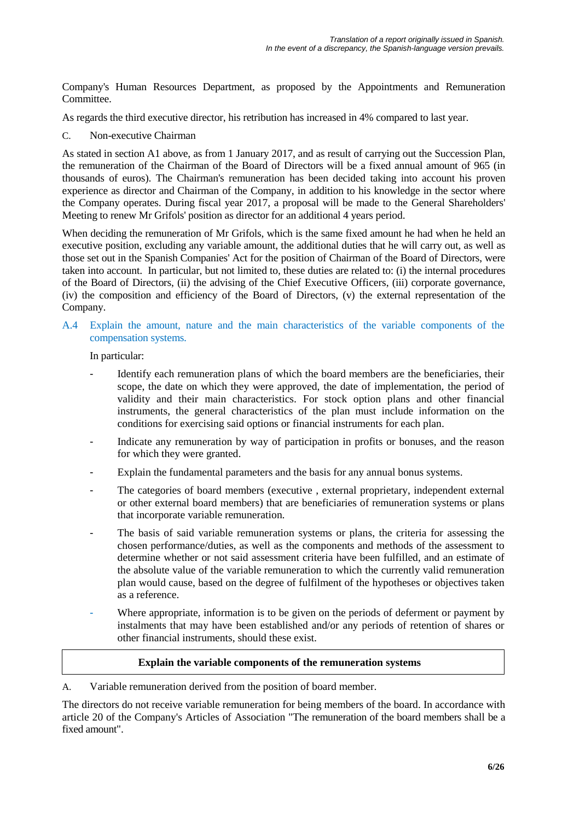Company's Human Resources Department, as proposed by the Appointments and Remuneration Committee.

As regards the third executive director, his retribution has increased in 4% compared to last year.

C. Non-executive Chairman

As stated in section A1 above, as from 1 January 2017, and as result of carrying out the Succession Plan, the remuneration of the Chairman of the Board of Directors will be a fixed annual amount of 965 (in thousands of euros). The Chairman's remuneration has been decided taking into account his proven experience as director and Chairman of the Company, in addition to his knowledge in the sector where the Company operates. During fiscal year 2017, a proposal will be made to the General Shareholders' Meeting to renew Mr Grifols' position as director for an additional 4 years period.

When deciding the remuneration of Mr Grifols, which is the same fixed amount he had when he held an executive position, excluding any variable amount, the additional duties that he will carry out, as well as those set out in the Spanish Companies' Act for the position of Chairman of the Board of Directors, were taken into account. In particular, but not limited to, these duties are related to: (i) the internal procedures of the Board of Directors, (ii) the advising of the Chief Executive Officers, (iii) corporate governance, (iv) the composition and efficiency of the Board of Directors, (v) the external representation of the Company.

#### A.4 Explain the amount, nature and the main characteristics of the variable components of the compensation systems.

In particular:

- Identify each remuneration plans of which the board members are the beneficiaries, their scope, the date on which they were approved, the date of implementation, the period of validity and their main characteristics. For stock option plans and other financial instruments, the general characteristics of the plan must include information on the conditions for exercising said options or financial instruments for each plan.
- Indicate any remuneration by way of participation in profits or bonuses, and the reason for which they were granted.
- Explain the fundamental parameters and the basis for any annual bonus systems.
- The categories of board members (executive, external proprietary, independent external or other external board members) that are beneficiaries of remuneration systems or plans that incorporate variable remuneration.
- The basis of said variable remuneration systems or plans, the criteria for assessing the chosen performance/duties, as well as the components and methods of the assessment to determine whether or not said assessment criteria have been fulfilled, and an estimate of the absolute value of the variable remuneration to which the currently valid remuneration plan would cause, based on the degree of fulfilment of the hypotheses or objectives taken as a reference.
- Where appropriate, information is to be given on the periods of deferment or payment by instalments that may have been established and/or any periods of retention of shares or other financial instruments, should these exist.

#### **Explain the variable components of the remuneration systems**

A. Variable remuneration derived from the position of board member.

The directors do not receive variable remuneration for being members of the board. In accordance with article 20 of the Company's Articles of Association "The remuneration of the board members shall be a fixed amount".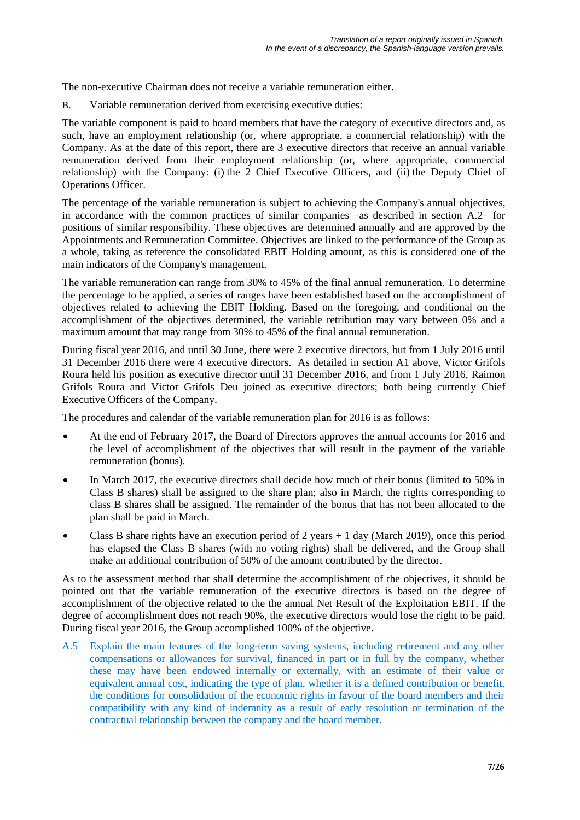The non-executive Chairman does not receive a variable remuneration either.

B. Variable remuneration derived from exercising executive duties:

The variable component is paid to board members that have the category of executive directors and, as such, have an employment relationship (or, where appropriate, a commercial relationship) with the Company. As at the date of this report, there are 3 executive directors that receive an annual variable remuneration derived from their employment relationship (or, where appropriate, commercial relationship) with the Company: (i) the 2 Chief Executive Officers, and (ii) the Deputy Chief of Operations Officer.

The percentage of the variable remuneration is subject to achieving the Company's annual objectives, in accordance with the common practices of similar companies –as described in section A.2– for positions of similar responsibility. These objectives are determined annually and are approved by the Appointments and Remuneration Committee. Objectives are linked to the performance of the Group as a whole, taking as reference the consolidated EBIT Holding amount, as this is considered one of the main indicators of the Company's management.

The variable remuneration can range from 30% to 45% of the final annual remuneration. To determine the percentage to be applied, a series of ranges have been established based on the accomplishment of objectives related to achieving the EBIT Holding. Based on the foregoing, and conditional on the accomplishment of the objectives determined, the variable retribution may vary between 0% and a maximum amount that may range from 30% to 45% of the final annual remuneration.

During fiscal year 2016, and until 30 June, there were 2 executive directors, but from 1 July 2016 until 31 December 2016 there were 4 executive directors. As detailed in section A1 above, Victor Grifols Roura held his position as executive director until 31 December 2016, and from 1 July 2016, Raimon Grifols Roura and Victor Grifols Deu joined as executive directors; both being currently Chief Executive Officers of the Company.

The procedures and calendar of the variable remuneration plan for 2016 is as follows:

- At the end of February 2017, the Board of Directors approves the annual accounts for 2016 and the level of accomplishment of the objectives that will result in the payment of the variable remuneration (bonus).
- In March 2017, the executive directors shall decide how much of their bonus (limited to 50% in Class B shares) shall be assigned to the share plan; also in March, the rights corresponding to class B shares shall be assigned. The remainder of the bonus that has not been allocated to the plan shall be paid in March.
- Class B share rights have an execution period of 2 years  $+1$  day (March 2019), once this period has elapsed the Class B shares (with no voting rights) shall be delivered, and the Group shall make an additional contribution of 50% of the amount contributed by the director.

As to the assessment method that shall determine the accomplishment of the objectives, it should be pointed out that the variable remuneration of the executive directors is based on the degree of accomplishment of the objective related to the the annual Net Result of the Exploitation EBIT. If the degree of accomplishment does not reach 90%, the executive directors would lose the right to be paid. During fiscal year 2016, the Group accomplished 100% of the objective.

A.5 Explain the main features of the long-term saving systems, including retirement and any other compensations or allowances for survival, financed in part or in full by the company, whether these may have been endowed internally or externally, with an estimate of their value or equivalent annual cost, indicating the type of plan, whether it is a defined contribution or benefit, the conditions for consolidation of the economic rights in favour of the board members and their compatibility with any kind of indemnity as a result of early resolution or termination of the contractual relationship between the company and the board member.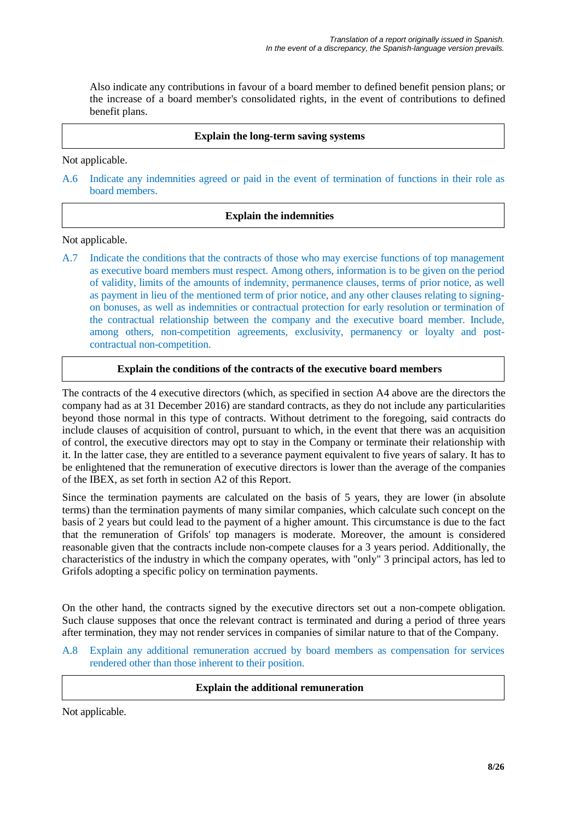Also indicate any contributions in favour of a board member to defined benefit pension plans; or the increase of a board member's consolidated rights, in the event of contributions to defined benefit plans.

#### **Explain the long-term saving systems**

Not applicable.

A.6 Indicate any indemnities agreed or paid in the event of termination of functions in their role as board members.

### **Explain the indemnities**

Not applicable.

A.7 Indicate the conditions that the contracts of those who may exercise functions of top management as executive board members must respect. Among others, information is to be given on the period of validity, limits of the amounts of indemnity, permanence clauses, terms of prior notice, as well as payment in lieu of the mentioned term of prior notice, and any other clauses relating to signingon bonuses, as well as indemnities or contractual protection for early resolution or termination of the contractual relationship between the company and the executive board member. Include, among others, non-competition agreements, exclusivity, permanency or loyalty and postcontractual non-competition.

### **Explain the conditions of the contracts of the executive board members**

The contracts of the 4 executive directors (which, as specified in section A4 above are the directors the company had as at 31 December 2016) are standard contracts, as they do not include any particularities beyond those normal in this type of contracts. Without detriment to the foregoing, said contracts do include clauses of acquisition of control, pursuant to which, in the event that there was an acquisition of control, the executive directors may opt to stay in the Company or terminate their relationship with it. In the latter case, they are entitled to a severance payment equivalent to five years of salary. It has to be enlightened that the remuneration of executive directors is lower than the average of the companies of the IBEX, as set forth in section A2 of this Report.

Since the termination payments are calculated on the basis of 5 years, they are lower (in absolute terms) than the termination payments of many similar companies, which calculate such concept on the basis of 2 years but could lead to the payment of a higher amount. This circumstance is due to the fact that the remuneration of Grifols' top managers is moderate. Moreover, the amount is considered reasonable given that the contracts include non-compete clauses for a 3 years period. Additionally, the characteristics of the industry in which the company operates, with "only" 3 principal actors, has led to Grifols adopting a specific policy on termination payments.

On the other hand, the contracts signed by the executive directors set out a non-compete obligation. Such clause supposes that once the relevant contract is terminated and during a period of three years after termination, they may not render services in companies of similar nature to that of the Company.

A.8 Explain any additional remuneration accrued by board members as compensation for services rendered other than those inherent to their position.

#### **Explain the additional remuneration**

Not applicable.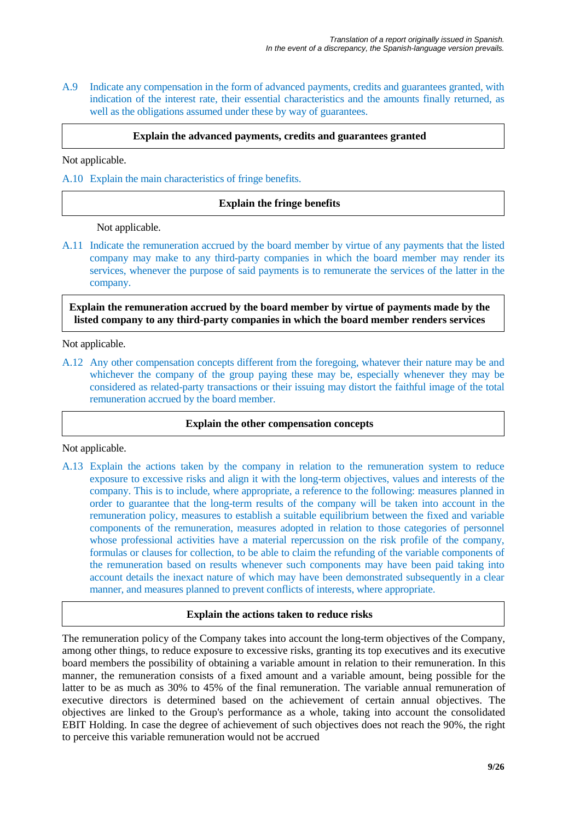A.9 Indicate any compensation in the form of advanced payments, credits and guarantees granted, with indication of the interest rate, their essential characteristics and the amounts finally returned, as well as the obligations assumed under these by way of guarantees.

#### **Explain the advanced payments, credits and guarantees granted**

Not applicable.

A.10 Explain the main characteristics of fringe benefits.

### **Explain the fringe benefits**

Not applicable.

A.11 Indicate the remuneration accrued by the board member by virtue of any payments that the listed company may make to any third-party companies in which the board member may render its services, whenever the purpose of said payments is to remunerate the services of the latter in the company.

**Explain the remuneration accrued by the board member by virtue of payments made by the listed company to any third-party companies in which the board member renders services**

Not applicable.

A.12 Any other compensation concepts different from the foregoing, whatever their nature may be and whichever the company of the group paying these may be, especially whenever they may be considered as related-party transactions or their issuing may distort the faithful image of the total remuneration accrued by the board member.

#### **Explain the other compensation concepts**

Not applicable.

A.13 Explain the actions taken by the company in relation to the remuneration system to reduce exposure to excessive risks and align it with the long-term objectives, values and interests of the company. This is to include, where appropriate, a reference to the following: measures planned in order to guarantee that the long-term results of the company will be taken into account in the remuneration policy, measures to establish a suitable equilibrium between the fixed and variable components of the remuneration, measures adopted in relation to those categories of personnel whose professional activities have a material repercussion on the risk profile of the company, formulas or clauses for collection, to be able to claim the refunding of the variable components of the remuneration based on results whenever such components may have been paid taking into account details the inexact nature of which may have been demonstrated subsequently in a clear manner, and measures planned to prevent conflicts of interests, where appropriate.

#### **Explain the actions taken to reduce risks**

The remuneration policy of the Company takes into account the long-term objectives of the Company, among other things, to reduce exposure to excessive risks, granting its top executives and its executive board members the possibility of obtaining a variable amount in relation to their remuneration. In this manner, the remuneration consists of a fixed amount and a variable amount, being possible for the latter to be as much as 30% to 45% of the final remuneration. The variable annual remuneration of executive directors is determined based on the achievement of certain annual objectives. The objectives are linked to the Group's performance as a whole, taking into account the consolidated EBIT Holding. In case the degree of achievement of such objectives does not reach the 90%, the right to perceive this variable remuneration would not be accrued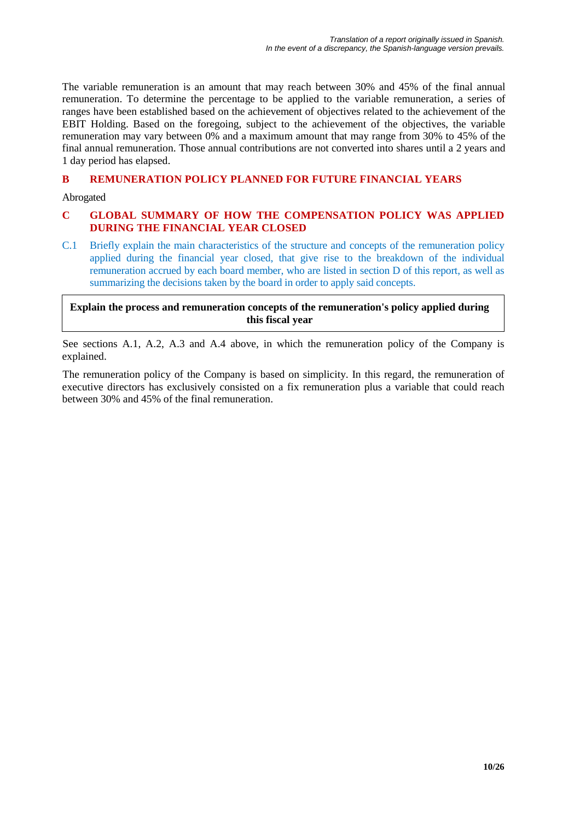The variable remuneration is an amount that may reach between 30% and 45% of the final annual remuneration. To determine the percentage to be applied to the variable remuneration, a series of ranges have been established based on the achievement of objectives related to the achievement of the EBIT Holding. Based on the foregoing, subject to the achievement of the objectives, the variable remuneration may vary between 0% and a maximum amount that may range from 30% to 45% of the final annual remuneration. Those annual contributions are not converted into shares until a 2 years and 1 day period has elapsed.

# **B REMUNERATION POLICY PLANNED FOR FUTURE FINANCIAL YEARS**

Abrogated

# **C GLOBAL SUMMARY OF HOW THE COMPENSATION POLICY WAS APPLIED DURING THE FINANCIAL YEAR CLOSED**

C.1 Briefly explain the main characteristics of the structure and concepts of the remuneration policy applied during the financial year closed, that give rise to the breakdown of the individual remuneration accrued by each board member, who are listed in section D of this report, as well as summarizing the decisions taken by the board in order to apply said concepts.

**Explain the process and remuneration concepts of the remuneration's policy applied during this fiscal year**

See sections A.1, A.2, A.3 and A.4 above, in which the remuneration policy of the Company is explained.

The remuneration policy of the Company is based on simplicity. In this regard, the remuneration of executive directors has exclusively consisted on a fix remuneration plus a variable that could reach between 30% and 45% of the final remuneration.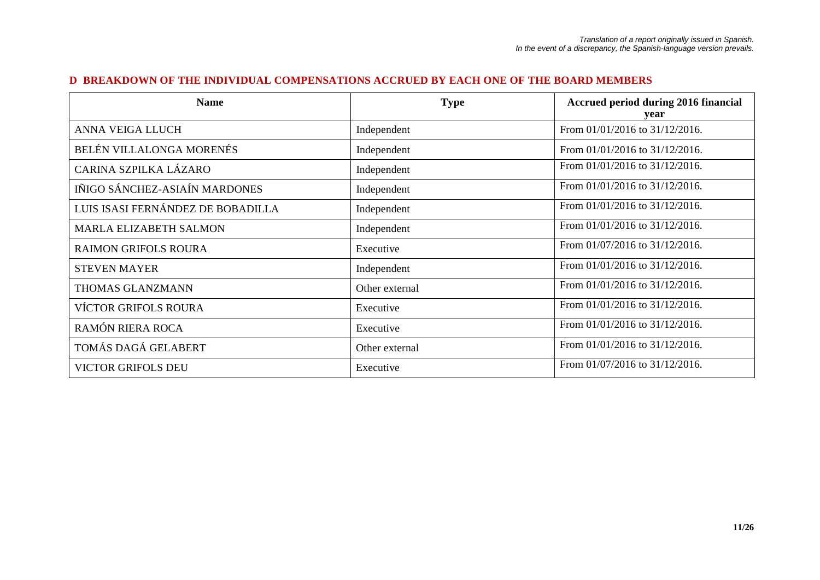#### **D BREAKDOWN OF THE INDIVIDUAL COMPENSATIONS ACCRUED BY EACH ONE OF THE BOARD MEMBERS**

| <b>Name</b>                       | <b>Type</b>    | Accrued period during 2016 financial<br>vear |
|-----------------------------------|----------------|----------------------------------------------|
| ANNA VEIGA LLUCH                  | Independent    | From 01/01/2016 to 31/12/2016.               |
| BELÉN VILLALONGA MORENÉS          | Independent    | From $01/01/2016$ to $31/12/2016$ .          |
| CARINA SZPILKA LÁZARO             | Independent    | From 01/01/2016 to 31/12/2016.               |
| IÑIGO SÁNCHEZ-ASIAÍN MARDONES     | Independent    | From 01/01/2016 to 31/12/2016.               |
| LUIS ISASI FERNÁNDEZ DE BOBADILLA | Independent    | From 01/01/2016 to 31/12/2016.               |
| <b>MARLA ELIZABETH SALMON</b>     | Independent    | From 01/01/2016 to 31/12/2016.               |
| <b>RAIMON GRIFOLS ROURA</b>       | Executive      | From 01/07/2016 to 31/12/2016.               |
| <b>STEVEN MAYER</b>               | Independent    | From $01/01/2016$ to $31/12/2016$ .          |
| THOMAS GLANZMANN                  | Other external | From 01/01/2016 to 31/12/2016.               |
| <b>VÍCTOR GRIFOLS ROURA</b>       | Executive      | From 01/01/2016 to 31/12/2016.               |
| RAMÓN RIERA ROCA                  | Executive      | From 01/01/2016 to 31/12/2016.               |
| TOMÁS DAGÁ GELABERT               | Other external | From 01/01/2016 to 31/12/2016.               |
| <b>VICTOR GRIFOLS DEU</b>         | Executive      | From 01/07/2016 to 31/12/2016.               |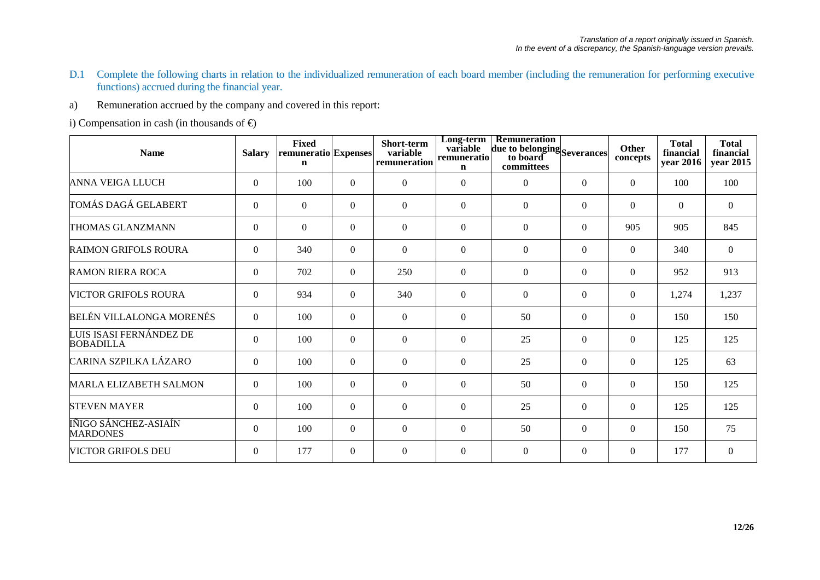- D.1 Complete the following charts in relation to the individualized remuneration of each board member (including the remuneration for performing executive functions) accrued during the financial year.
- a) Remuneration accrued by the company and covered in this report:

i) Compensation in cash (in thousands of  $\bigoplus$ 

| <b>Name</b>                                 | <b>Salary</b>  | <b>Fixed</b><br>remuneratio Expenses<br>$\mathbf n$ |                | Short-term<br>variable<br>remuneration | Long-term<br>variable<br>remuneratio<br>n | Remuneration<br>due to belonging Severances<br>to board<br>committees |                | Other<br>concepts | <b>Total</b><br>financial<br>year 2016 | <b>Total</b><br>financial<br>year 2015 |
|---------------------------------------------|----------------|-----------------------------------------------------|----------------|----------------------------------------|-------------------------------------------|-----------------------------------------------------------------------|----------------|-------------------|----------------------------------------|----------------------------------------|
| <b>ANNA VEIGA LLUCH</b>                     | $\overline{0}$ | 100                                                 | $\Omega$       | $\boldsymbol{0}$                       | $\Omega$                                  | $\Omega$                                                              | $\Omega$       | $\Omega$          | 100                                    | 100                                    |
| TOMÁS DAGÁ GELABERT                         | $\mathbf{0}$   | $\overline{0}$                                      | $\Omega$       | $\boldsymbol{0}$                       | $\theta$                                  | $\overline{0}$                                                        | $\overline{0}$ | $\overline{0}$    | $\theta$                               | $\overline{0}$                         |
| THOMAS GLANZMANN                            | $\overline{0}$ | $\Omega$                                            | $\overline{0}$ | $\boldsymbol{0}$                       | $\overline{0}$                            | $\mathbf{0}$                                                          | $\Omega$       | 905               | 905                                    | 845                                    |
| <b>RAIMON GRIFOLS ROURA</b>                 | $\overline{0}$ | 340                                                 | $\Omega$       | $\boldsymbol{0}$                       | $\theta$                                  | $\overline{0}$                                                        | $\Omega$       | $\Omega$          | 340                                    | $\overline{0}$                         |
| <b>RAMON RIERA ROCA</b>                     | $\overline{0}$ | 702                                                 | $\Omega$       | 250                                    | $\overline{0}$                            | $\Omega$                                                              | $\overline{0}$ | $\mathbf{0}$      | 952                                    | 913                                    |
| <b>VICTOR GRIFOLS ROURA</b>                 | $\Omega$       | 934                                                 | $\Omega$       | 340                                    | $\Omega$                                  | $\Omega$                                                              | $\Omega$       | $\Omega$          | 1,274                                  | 1,237                                  |
| BELÉN VILLALONGA MORENÉS                    | $\overline{0}$ | 100                                                 | $\Omega$       | $\overline{0}$                         | $\overline{0}$                            | 50                                                                    | $\Omega$       | $\Omega$          | 150                                    | 150                                    |
| LUIS ISASI FERNÁNDEZ DE<br><b>BOBADILLA</b> | $\overline{0}$ | 100                                                 | $\Omega$       | $\boldsymbol{0}$                       | $\Omega$                                  | 25                                                                    | $\Omega$       | $\Omega$          | 125                                    | 125                                    |
| CARINA SZPILKA LÁZARO                       | $\overline{0}$ | 100                                                 | $\overline{0}$ | $\boldsymbol{0}$                       | $\overline{0}$                            | 25                                                                    | $\overline{0}$ | $\overline{0}$    | 125                                    | 63                                     |
| <b>MARLA ELIZABETH SALMON</b>               | $\overline{0}$ | 100                                                 | $\overline{0}$ | $\overline{0}$                         | $\theta$                                  | 50                                                                    | $\Omega$       | $\mathbf{0}$      | 150                                    | 125                                    |
| <b>STEVEN MAYER</b>                         | $\overline{0}$ | 100                                                 | $\theta$       | $\boldsymbol{0}$                       | $\overline{0}$                            | 25                                                                    | $\Omega$       | $\Omega$          | 125                                    | 125                                    |
| IÑIGO SÁNCHEZ-ASIAÍN<br><b>MARDONES</b>     | $\overline{0}$ | 100                                                 | $\overline{0}$ | $\overline{0}$                         | $\theta$                                  | 50                                                                    | $\Omega$       | $\mathbf{0}$      | 150                                    | 75                                     |
| <b>VICTOR GRIFOLS DEU</b>                   | $\Omega$       | 177                                                 | $\Omega$       | $\Omega$                               | $\Omega$                                  | $\Omega$                                                              | $\Omega$       | $\Omega$          | 177                                    | $\theta$                               |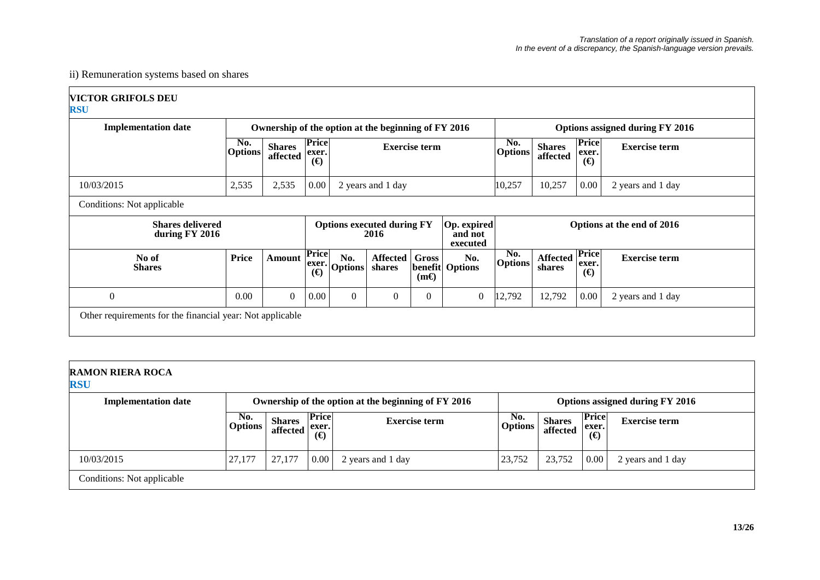# ii) Remuneration systems based on shares

| <b>VICTOR GRIFOLS DEU</b> |  |
|---------------------------|--|
| <b>RSU</b>                |  |

 $\Gamma$ 

| <b>Implementation date</b>                                |                       |                           |                                           |                       | Ownership of the option at the beginning of FY 2016 |                             |                                    | Options assigned during FY 2016 |                            |                            |                      |  |
|-----------------------------------------------------------|-----------------------|---------------------------|-------------------------------------------|-----------------------|-----------------------------------------------------|-----------------------------|------------------------------------|---------------------------------|----------------------------|----------------------------|----------------------|--|
|                                                           | No.<br><b>Options</b> | <b>Shares</b><br>affected | Price<br>exer.<br>$\Theta$                | <b>Exercise term</b>  |                                                     |                             | No.<br><b>Options</b>              | <b>Shares</b><br>affected       | Price<br>exer.<br>$\Theta$ | <b>Exercise term</b>       |                      |  |
| 10/03/2015                                                | 2,535                 | 2,535                     | 0.00                                      | 2 years and 1 day     |                                                     |                             | 10,257                             | 10,257                          | 0.00                       | 2 years and 1 day          |                      |  |
| Conditions: Not applicable                                |                       |                           |                                           |                       |                                                     |                             |                                    |                                 |                            |                            |                      |  |
| <b>Shares delivered</b><br>during FY 2016                 |                       |                           | <b>Options executed during FY</b><br>2016 |                       |                                                     |                             | Op. expired<br>and not<br>executed |                                 | Options at the end of 2016 |                            |                      |  |
| No of<br><b>Shares</b>                                    | <b>Price</b>          | <b>Amount</b>             | <b>Price</b><br>exer.<br>$\Theta$         | No.<br><b>Options</b> | <b>Affected</b><br>shares                           | <b>Gross</b><br>$(m\Theta)$ | No.<br><b>benefit Options</b>      | No.<br><b>Options</b>           | <b>Affected</b><br>shares  | Price<br>exer.<br>$\Theta$ | <b>Exercise term</b> |  |
| $\mathbf{0}$                                              | 0.00                  | $\boldsymbol{0}$          | 0.00                                      | $\theta$              | $\theta$                                            | $\overline{0}$              | $\overline{0}$                     | 12,792                          | 12,792                     | 0.00                       | 2 years and 1 day    |  |
| Other requirements for the financial year: Not applicable |                       |                           |                                           |                       |                                                     |                             |                                    |                                 |                            |                            |                      |  |

| <b>RAMON RIERA ROCA</b><br><b>RSU</b> |                       |                                                                      |                          |                                                     |                       |                           |                                   |                                 |
|---------------------------------------|-----------------------|----------------------------------------------------------------------|--------------------------|-----------------------------------------------------|-----------------------|---------------------------|-----------------------------------|---------------------------------|
| <b>Implementation date</b>            |                       |                                                                      |                          | Ownership of the option at the beginning of FY 2016 |                       |                           |                                   | Options assigned during FY 2016 |
|                                       | No.<br><b>Options</b> | <b>Shares</b><br>$\left  \right $ affected $\left  \right $ affected | <b>Price</b><br>$\Theta$ | <b>Exercise term</b>                                | No.<br><b>Options</b> | <b>Shares</b><br>affected | <b>Price</b><br>exer.<br>$\Theta$ | <b>Exercise term</b>            |
| 10/03/2015                            | 27,177                | 27,177                                                               | $\mid 0.00 \mid$         | 2 years and 1 day                                   | 23,752                | 23,752                    | 0.00                              | 2 years and 1 day               |
| Conditions: Not applicable            |                       |                                                                      |                          |                                                     |                       |                           |                                   |                                 |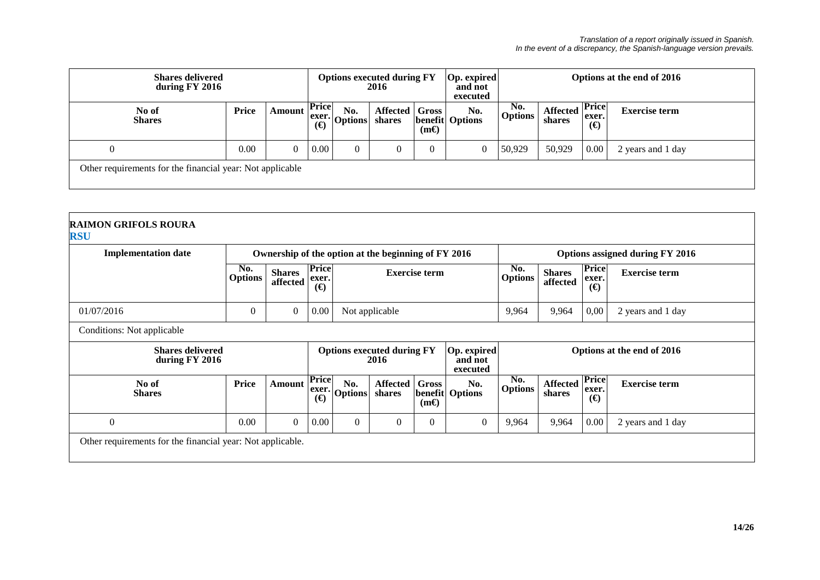| <b>Shares delivered</b><br>during FY 2016                 |       |        |                          | Options executed during FY<br>2016                                          |                              |             | <b>Op.</b> expired<br>and not<br>executed |                                    | Options at the end of 2016 |                                   |                      |  |
|-----------------------------------------------------------|-------|--------|--------------------------|-----------------------------------------------------------------------------|------------------------------|-------------|-------------------------------------------|------------------------------------|----------------------------|-----------------------------------|----------------------|--|
| No of<br><b>Shares</b>                                    | Price | Amount | <b>Price</b><br>$\Theta$ | No.<br>$\left \frac{\text{exer.}}{\text{C}}\right $ Options $\left \right $ | Affected   Gross  <br>shares | $(m\Theta)$ | No.<br><b>benefit</b> Options             | N <sub>0</sub> .<br><b>Options</b> | <b>Affected</b><br>shares  | <b>Price</b><br>exer.<br>$\Theta$ | <b>Exercise term</b> |  |
| $\theta$                                                  | 0.00  |        | 0.00                     |                                                                             |                              | $\theta$    | $\overline{0}$                            | 50,929                             | 50,929                     | $0.00\vert$                       | 2 years and 1 day    |  |
| Other requirements for the financial year: Not applicable |       |        |                          |                                                                             |                              |             |                                           |                                    |                            |                                   |                      |  |

| <b>Implementation date</b>                |                       |                           |                                      |                       | Ownership of the option at the beginning of FY 2016 | Options assigned during FY 2016        |                                    |                       |                           |                                   |                            |
|-------------------------------------------|-----------------------|---------------------------|--------------------------------------|-----------------------|-----------------------------------------------------|----------------------------------------|------------------------------------|-----------------------|---------------------------|-----------------------------------|----------------------------|
|                                           | No.<br><b>Options</b> | <b>Shares</b><br>affected | <b>Price</b><br>exer.<br>$\bigoplus$ | <b>Exercise term</b>  |                                                     |                                        |                                    | No.<br><b>Options</b> | <b>Shares</b><br>affected | <b>Price</b><br>exer.<br>$\Theta$ | <b>Exercise term</b>       |
| 01/07/2016                                | $\theta$              | $\mathbf{0}$              | $0.00\,$                             |                       | Not applicable                                      |                                        |                                    | 9,964                 | 9,964                     | 0,00                              | 2 years and 1 day          |
| Conditions: Not applicable                |                       |                           |                                      |                       |                                                     |                                        |                                    |                       |                           |                                   |                            |
| <b>Shares delivered</b><br>during FY 2016 |                       |                           |                                      |                       | <b>Options executed during FY</b><br>2016           |                                        | Op. expired<br>and not<br>executed |                       |                           |                                   | Options at the end of 2016 |
| No of<br><b>Shares</b>                    | <b>Price</b>          | <b>Amount</b>             | Price<br>exer.<br>$(\bigoplus$       | No.<br><b>Options</b> | Affected  <br>shares                                | <b>Gross</b><br>benefit<br>$(m\Theta)$ | No.<br><b>Options</b>              | No.<br><b>Options</b> | <b>Affected</b><br>shares | Price<br>exer.<br>$\Theta$        | <b>Exercise term</b>       |
| $\theta$                                  | 0.00                  | $\overline{0}$            | $0.00\,$                             | $\overline{0}$        | $\boldsymbol{0}$                                    | $\mathbf{0}$                           | $\overline{0}$                     | 9,964                 | 9,964                     | 0.00                              | 2 years and 1 day          |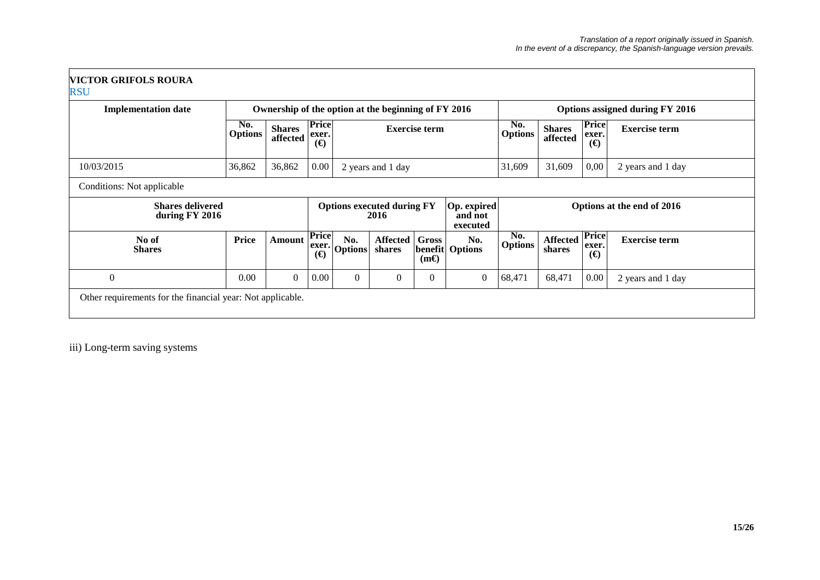| <b>Implementation date</b>                |                       |                           |                                   | Ownership of the option at the beginning of FY 2016 |                                           |             |                                    | Options assigned during FY 2016 |                           |                                   |                            |
|-------------------------------------------|-----------------------|---------------------------|-----------------------------------|-----------------------------------------------------|-------------------------------------------|-------------|------------------------------------|---------------------------------|---------------------------|-----------------------------------|----------------------------|
|                                           | No.<br><b>Options</b> | <b>Shares</b><br>affected | <b>Price</b><br>exer.<br>$\Theta$ | <b>Exercise term</b>                                |                                           |             |                                    | No.<br><b>Options</b>           | <b>Shares</b><br>affected | Price<br>exer.<br>$\Theta$        | <b>Exercise term</b>       |
| 10/03/2015                                | 36,862                | 36,862                    | 0.00                              |                                                     | 2 years and 1 day                         |             |                                    | 31,609                          | 31,609                    | 0,00                              | 2 years and 1 day          |
| Conditions: Not applicable                |                       |                           |                                   |                                                     |                                           |             |                                    |                                 |                           |                                   |                            |
| <b>Shares delivered</b><br>during FY 2016 |                       |                           |                                   |                                                     | <b>Options executed during FY</b><br>2016 |             | Op. expired<br>and not<br>executed |                                 |                           |                                   | Options at the end of 2016 |
| No of<br><b>Shares</b>                    | Price                 | Amount                    | <b>Price</b><br>exer.<br>$\Theta$ | No.<br><b>Options</b>                               | Affected   Gross<br>shares                | $(m\Theta)$ | No.<br><b>benefit Options</b>      | No.<br><b>Options</b>           | <b>Affected</b><br>shares | <b>Price</b><br>exer.<br>$\Theta$ | <b>Exercise term</b>       |
| $\theta$                                  | 0.00                  | $\theta$                  | 0.00                              | $\overline{0}$                                      | $\overline{0}$                            | $\theta$    | $\overline{0}$                     | 68,471                          | 68,471                    | 0.00                              | 2 years and 1 day          |

iii) Long-term saving systems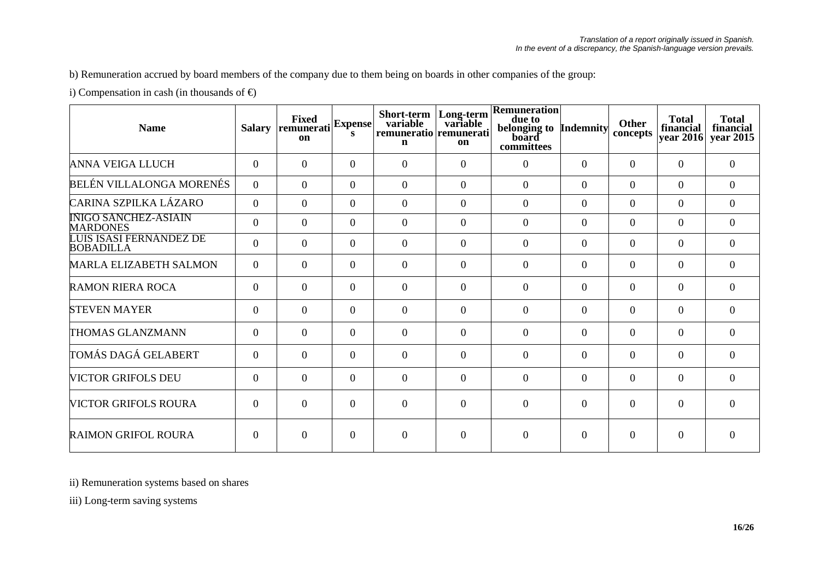b) Remuneration accrued by board members of the company due to them being on boards in other companies of the group:

i) Compensation in cash (in thousands of  $\bigoplus$ 

| <b>Name</b>                                    | <b>Salary</b>  | <b>Fixed</b><br>remunerati<br>on | <b>Expense</b><br>s | Short-term<br>variable<br>remuneratio remunerati<br>$\mathbf n$ | Long-term<br>variable<br>on | Remuneration<br>due to<br>belonging to Indemnity<br>board<br>committees |          | <b>Other</b><br>concepts | <b>Total</b><br>financial<br>year 2016 | <b>Total</b><br>financial<br>year 2015 |
|------------------------------------------------|----------------|----------------------------------|---------------------|-----------------------------------------------------------------|-----------------------------|-------------------------------------------------------------------------|----------|--------------------------|----------------------------------------|----------------------------------------|
| <b>ANNA VEIGA LLUCH</b>                        | $\theta$       | $\theta$                         | $\theta$            | $\overline{0}$                                                  | $\Omega$                    | $\Omega$                                                                | $\Omega$ | $\Omega$                 | $\Omega$                               | $\Omega$                               |
| BELÉN VILLALONGA MORENÉS                       | $\overline{0}$ | $\theta$                         | $\Omega$            | $\boldsymbol{0}$                                                | $\Omega$                    | $\Omega$                                                                | $\theta$ | $\Omega$                 | $\Omega$                               | $\overline{0}$                         |
| CARINA SZPILKA LÁZARO                          | $\overline{0}$ | $\theta$                         | $\theta$            | $\boldsymbol{0}$                                                | $\Omega$                    | $\Omega$                                                                | $\theta$ | $\Omega$                 | $\Omega$                               | $\overline{0}$                         |
| <b>INIGO SANCHEZ-ASIAIN</b><br><b>MARDONES</b> | $\overline{0}$ | $\theta$                         | $\theta$            | $\overline{0}$                                                  | $\Omega$                    | $\overline{0}$                                                          | $\theta$ | $\Omega$                 | $\Omega$                               | $\overline{0}$                         |
| LUIS ISASI FERNÁNDEZ DE<br><b>BOBADILLA</b>    | $\overline{0}$ | $\overline{0}$                   | $\theta$            | $\overline{0}$                                                  | $\overline{0}$              | $\overline{0}$                                                          | $\Omega$ | $\Omega$                 | $\overline{0}$                         | $\overline{0}$                         |
| <b>MARLA ELIZABETH SALMON</b>                  | $\overline{0}$ | $\overline{0}$                   | $\theta$            | $\boldsymbol{0}$                                                | $\Omega$                    | $\Omega$                                                                | $\Omega$ | $\Omega$                 | $\overline{0}$                         | $\overline{0}$                         |
| <b>RAMON RIERA ROCA</b>                        | $\overline{0}$ | $\theta$                         | $\theta$            | $\boldsymbol{0}$                                                | $\Omega$                    | $\overline{0}$                                                          | $\theta$ | $\Omega$                 | $\overline{0}$                         | $\overline{0}$                         |
| <b>STEVEN MAYER</b>                            | $\theta$       | $\theta$                         | $\theta$            | $\overline{0}$                                                  | $\Omega$                    | $\Omega$                                                                | $\Omega$ | $\Omega$                 | $\Omega$                               | $\theta$                               |
| THOMAS GLANZMANN                               | $\overline{0}$ | $\mathbf{0}$                     | $\theta$            | $\overline{0}$                                                  | $\Omega$                    | $\overline{0}$                                                          | $\Omega$ | $\overline{0}$           | $\overline{0}$                         | $\overline{0}$                         |
| TOMÁS DAGÁ GELABERT                            | $\overline{0}$ | $\overline{0}$                   | $\theta$            | $\overline{0}$                                                  | $\Omega$                    | $\overline{0}$                                                          | $\Omega$ | $\Omega$                 | $\overline{0}$                         | $\theta$                               |
| <b>VICTOR GRIFOLS DEU</b>                      | $\overline{0}$ | $\overline{0}$                   | $\theta$            | $\boldsymbol{0}$                                                | $\Omega$                    | $\overline{0}$                                                          | $\Omega$ | $\Omega$                 | $\Omega$                               | $\Omega$                               |
| <b>VICTOR GRIFOLS ROURA</b>                    | $\overline{0}$ | $\theta$                         | $\Omega$            | $\overline{0}$                                                  | $\Omega$                    | $\theta$                                                                | $\Omega$ | $\Omega$                 | $\overline{0}$                         | $\Omega$                               |
| <b>RAIMON GRIFOL ROURA</b>                     | $\theta$       | $\Omega$                         | $\Omega$            | $\overline{0}$                                                  | $\Omega$                    | $\Omega$                                                                | $\Omega$ | $\Omega$                 | $\Omega$                               | $\Omega$                               |

ii) Remuneration systems based on shares

iii) Long-term saving systems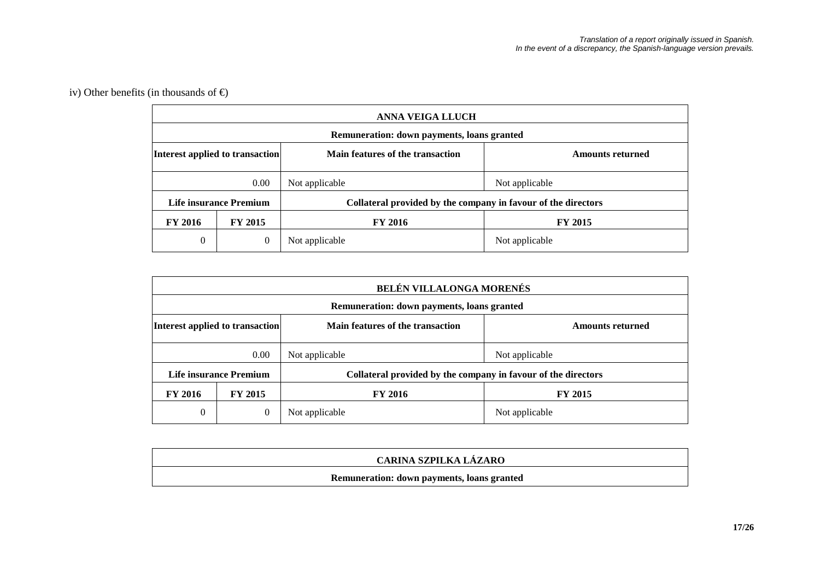# iv) Other benefits (in thousands of  $\Theta$

|                                 |                        | <b>ANNA VEIGA LLUCH</b>                                       |                         |  |  |  |  |
|---------------------------------|------------------------|---------------------------------------------------------------|-------------------------|--|--|--|--|
|                                 |                        | Remuneration: down payments, loans granted                    |                         |  |  |  |  |
| Interest applied to transaction |                        | Main features of the transaction                              | <b>Amounts returned</b> |  |  |  |  |
|                                 | 0.00                   | Not applicable                                                | Not applicable          |  |  |  |  |
|                                 | Life insurance Premium | Collateral provided by the company in favour of the directors |                         |  |  |  |  |
| <b>FY 2016</b>                  | <b>FY 2015</b>         | <b>FY 2016</b>                                                | <b>FY 2015</b>          |  |  |  |  |
| $\theta$                        | $\mathbf{0}$           | Not applicable                                                | Not applicable          |  |  |  |  |

|                                 |                        | <b>BELÉN VILLALONGA MORENÉS</b>                               |                         |
|---------------------------------|------------------------|---------------------------------------------------------------|-------------------------|
|                                 |                        | Remuneration: down payments, loans granted                    |                         |
| Interest applied to transaction |                        | Main features of the transaction                              | <b>Amounts returned</b> |
|                                 | 0.00                   | Not applicable                                                | Not applicable          |
|                                 | Life insurance Premium | Collateral provided by the company in favour of the directors |                         |
| <b>FY 2016</b>                  | <b>FY 2015</b>         | <b>FY 2016</b>                                                | <b>FY 2015</b>          |
| $\overline{0}$                  | $\theta$               | Not applicable                                                | Not applicable          |

| CARINA SZPILKA LÁZARO                             |
|---------------------------------------------------|
| <b>Remuneration: down payments, loans granted</b> |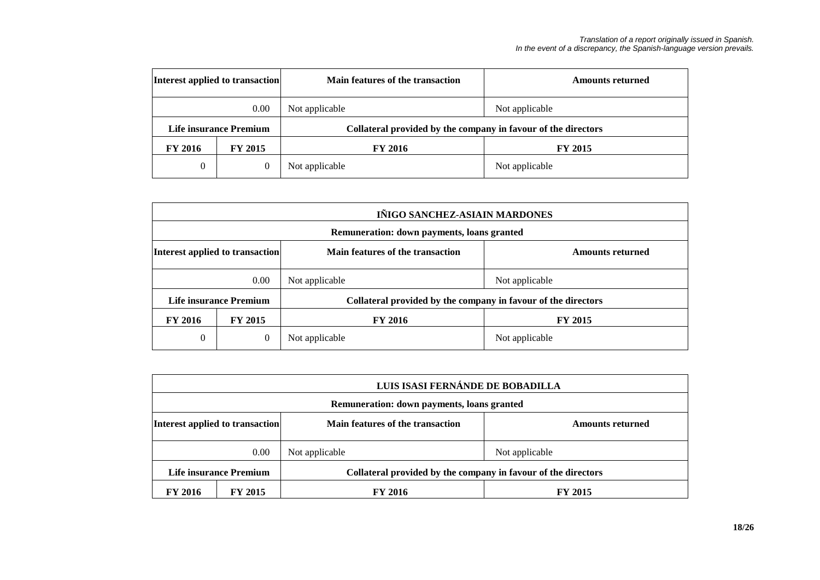| Interest applied to transaction |                | Main features of the transaction                              | <b>Amounts returned</b> |
|---------------------------------|----------------|---------------------------------------------------------------|-------------------------|
| 0.00                            |                | Not applicable                                                | Not applicable          |
| <b>Life insurance Premium</b>   |                | Collateral provided by the company in favour of the directors |                         |
| <b>FY 2016</b>                  | <b>FY 2015</b> | <b>FY 2016</b>                                                | <b>FY 2015</b>          |
| $\theta$                        | 0              | Not applicable                                                | Not applicable          |

|                                 | IÑIGO SANCHEZ-ASIAIN MARDONES |                                                               |                         |  |
|---------------------------------|-------------------------------|---------------------------------------------------------------|-------------------------|--|
|                                 |                               | Remuneration: down payments, loans granted                    |                         |  |
| Interest applied to transaction |                               | Main features of the transaction                              | <b>Amounts returned</b> |  |
| 0.00                            |                               | Not applicable                                                | Not applicable          |  |
| Life insurance Premium          |                               | Collateral provided by the company in favour of the directors |                         |  |
| <b>FY 2016</b>                  | <b>FY 2015</b>                | <b>FY 2016</b>                                                | <b>FY 2015</b>          |  |
| $\theta$                        | $\boldsymbol{0}$              | Not applicable                                                | Not applicable          |  |

|                                 | LUIS ISASI FERNÁNDE DE BOBADILLA           |                                                               |                         |  |
|---------------------------------|--------------------------------------------|---------------------------------------------------------------|-------------------------|--|
|                                 | Remuneration: down payments, loans granted |                                                               |                         |  |
| Interest applied to transaction |                                            | Main features of the transaction                              | <b>Amounts returned</b> |  |
|                                 | 0.00                                       | Not applicable                                                | Not applicable          |  |
| Life insurance Premium          |                                            | Collateral provided by the company in favour of the directors |                         |  |
| <b>FY 2016</b>                  | <b>FY 2015</b>                             | <b>FY 2016</b>                                                | <b>FY 2015</b>          |  |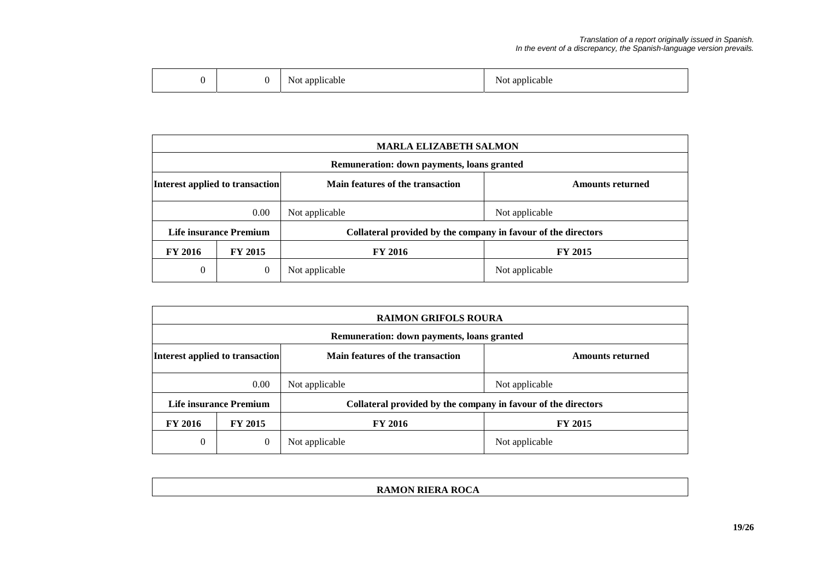|  |  | applicable<br>NOt<br>.<br>. . | . .<br><b>AT</b><br>applicable<br>NOt<br>.<br>. . |
|--|--|-------------------------------|---------------------------------------------------|
|--|--|-------------------------------|---------------------------------------------------|

|                                 | <b>MARLA ELIZABETH SALMON</b> |                                                               |                         |  |
|---------------------------------|-------------------------------|---------------------------------------------------------------|-------------------------|--|
|                                 |                               | Remuneration: down payments, loans granted                    |                         |  |
| Interest applied to transaction |                               | Main features of the transaction                              | <b>Amounts returned</b> |  |
|                                 | 0.00                          | Not applicable                                                | Not applicable          |  |
| Life insurance Premium          |                               | Collateral provided by the company in favour of the directors |                         |  |
| <b>FY 2016</b>                  | <b>FY 2015</b>                | <b>FY 2016</b>                                                | <b>FY 2015</b>          |  |
| $\theta$                        | $\mathbf{0}$                  | Not applicable                                                | Not applicable          |  |

|                                 | <b>RAIMON GRIFOLS ROURA</b> |                                                               |                         |  |
|---------------------------------|-----------------------------|---------------------------------------------------------------|-------------------------|--|
|                                 |                             | Remuneration: down payments, loans granted                    |                         |  |
| Interest applied to transaction |                             | Main features of the transaction                              | <b>Amounts returned</b> |  |
| 0.00                            |                             | Not applicable                                                | Not applicable          |  |
| Life insurance Premium          |                             | Collateral provided by the company in favour of the directors |                         |  |
| <b>FY 2016</b>                  | <b>FY 2015</b>              | <b>FY 2016</b>                                                | <b>FY 2015</b>          |  |
| $\overline{0}$                  | $\mathbf{0}$                | Not applicable                                                | Not applicable          |  |

### **RAMON RIERA ROCA**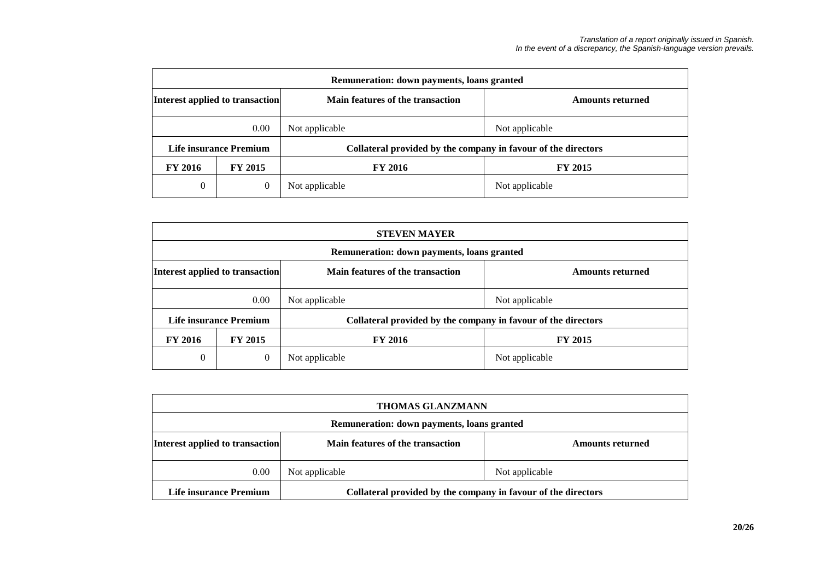| Remuneration: down payments, loans granted |                |                                                               |                         |  |
|--------------------------------------------|----------------|---------------------------------------------------------------|-------------------------|--|
| Interest applied to transaction            |                | Main features of the transaction                              | <b>Amounts returned</b> |  |
|                                            | 0.00           | Not applicable                                                | Not applicable          |  |
| Life insurance Premium                     |                | Collateral provided by the company in favour of the directors |                         |  |
| <b>FY 2016</b>                             | <b>FY 2015</b> | <b>FY 2016</b>                                                | <b>FY 2015</b>          |  |
| $\theta$                                   | $\theta$       | Not applicable                                                | Not applicable          |  |

|                                 | <b>STEVEN MAYER</b>                        |                                                               |                         |  |  |
|---------------------------------|--------------------------------------------|---------------------------------------------------------------|-------------------------|--|--|
|                                 | Remuneration: down payments, loans granted |                                                               |                         |  |  |
| Interest applied to transaction |                                            | Main features of the transaction                              | <b>Amounts returned</b> |  |  |
|                                 | 0.00                                       | Not applicable                                                | Not applicable          |  |  |
| Life insurance Premium          |                                            | Collateral provided by the company in favour of the directors |                         |  |  |
| <b>FY 2016</b>                  | <b>FY 2015</b>                             | <b>FY 2016</b>                                                | <b>FY 2015</b>          |  |  |
| $\theta$                        | 0                                          | Not applicable                                                | Not applicable          |  |  |

| <b>THOMAS GLANZMANN</b>                                                                 |                                  |                         |  |
|-----------------------------------------------------------------------------------------|----------------------------------|-------------------------|--|
| Remuneration: down payments, loans granted                                              |                                  |                         |  |
| Interest applied to transaction                                                         | Main features of the transaction | <b>Amounts returned</b> |  |
| 0.00                                                                                    | Not applicable                   | Not applicable          |  |
| Collateral provided by the company in favour of the directors<br>Life insurance Premium |                                  |                         |  |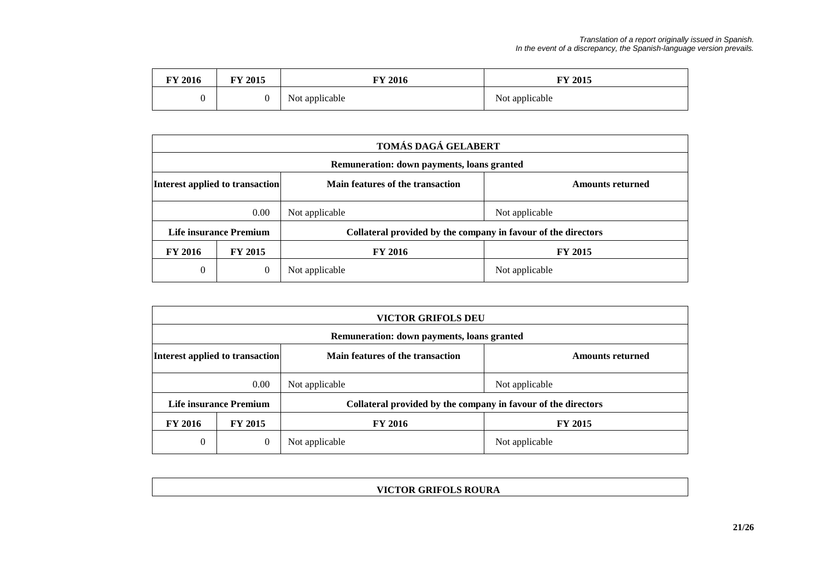| FY 2016 | FY 2015 | <b>FY 2016</b> | <b>FY 2015</b> |
|---------|---------|----------------|----------------|
|         |         | Not applicable | Not applicable |

|                                 | TOMÁS DAGÁ GELABERT |                                                               |                         |  |
|---------------------------------|---------------------|---------------------------------------------------------------|-------------------------|--|
|                                 |                     | Remuneration: down payments, loans granted                    |                         |  |
| Interest applied to transaction |                     | Main features of the transaction                              | <b>Amounts returned</b> |  |
| 0.00                            |                     | Not applicable                                                | Not applicable          |  |
| <b>Life insurance Premium</b>   |                     | Collateral provided by the company in favour of the directors |                         |  |
| <b>FY 2016</b>                  | <b>FY 2015</b>      | <b>FY 2016</b>                                                | <b>FY 2015</b>          |  |
| $\theta$                        | $\theta$            | Not applicable                                                | Not applicable          |  |

|                                 | <b>VICTOR GRIFOLS DEU</b> |                                                               |                         |  |
|---------------------------------|---------------------------|---------------------------------------------------------------|-------------------------|--|
|                                 |                           | Remuneration: down payments, loans granted                    |                         |  |
| Interest applied to transaction |                           | Main features of the transaction                              | <b>Amounts returned</b> |  |
| 0.00                            |                           | Not applicable                                                | Not applicable          |  |
| Life insurance Premium          |                           | Collateral provided by the company in favour of the directors |                         |  |
| <b>FY 2016</b>                  | <b>FY 2015</b>            | <b>FY 2016</b>                                                | <b>FY 2015</b>          |  |
| 0                               | $\theta$                  | Not applicable                                                | Not applicable          |  |

### **VICTOR GRIFOLS ROURA**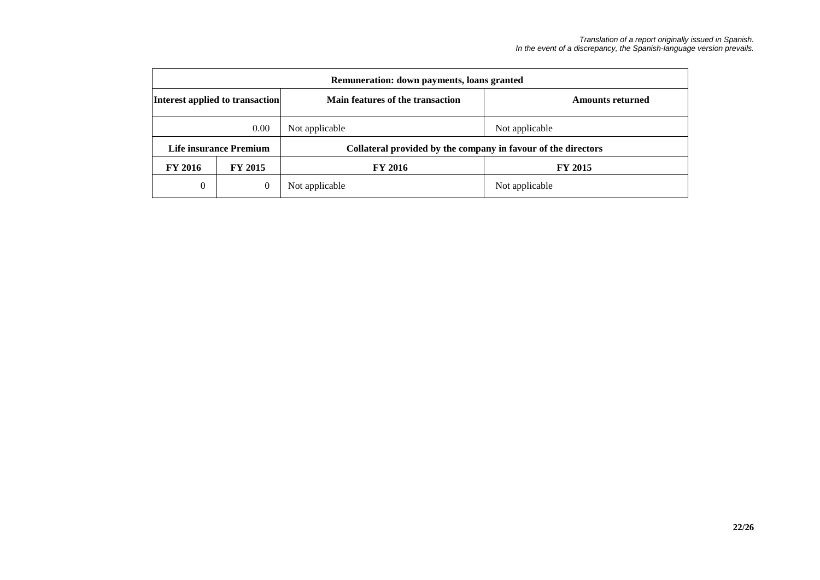| Remuneration: down payments, loans granted |                        |                                                               |                         |  |  |  |  |
|--------------------------------------------|------------------------|---------------------------------------------------------------|-------------------------|--|--|--|--|
| Interest applied to transaction            |                        | Main features of the transaction                              | <b>Amounts returned</b> |  |  |  |  |
| 0.00                                       |                        | Not applicable                                                | Not applicable          |  |  |  |  |
|                                            | Life insurance Premium | Collateral provided by the company in favour of the directors |                         |  |  |  |  |
| <b>FY 2016</b><br><b>FY 2015</b>           |                        | <b>FY 2016</b>                                                | <b>FY 2015</b>          |  |  |  |  |
| 0                                          | 0                      | Not applicable                                                | Not applicable          |  |  |  |  |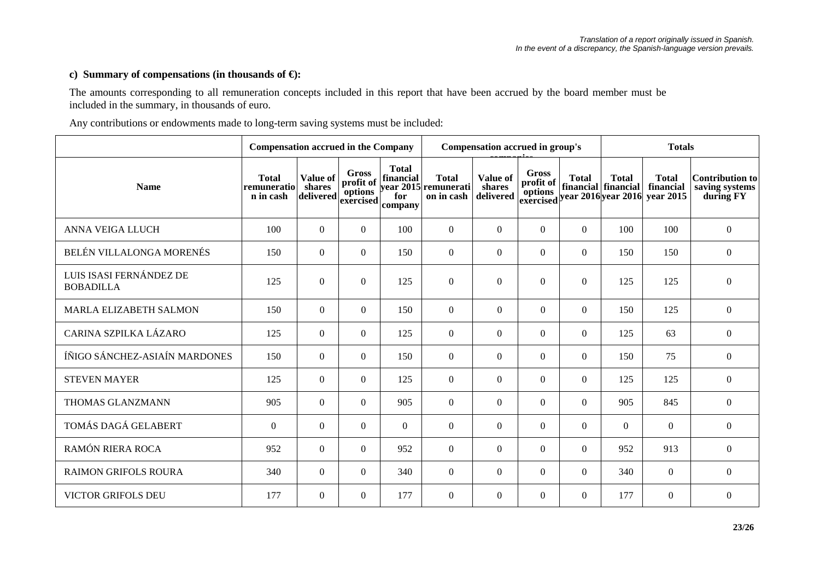### **c) Summary of compensations (in thousands of €):**

The amounts corresponding to all remuneration concepts included in this report that have been accrued by the board member must be included in the summary, in thousands of euro.

Any contributions or endowments made to long-term saving systems must be included:

|                                             | <b>Compensation accrued in the Company</b> |                                 |                                                   | Compensation accrued in group's             |                                                    |                                 |                    | <b>Totals</b>    |                                     |                                                                                                         |                                                       |
|---------------------------------------------|--------------------------------------------|---------------------------------|---------------------------------------------------|---------------------------------------------|----------------------------------------------------|---------------------------------|--------------------|------------------|-------------------------------------|---------------------------------------------------------------------------------------------------------|-------------------------------------------------------|
| <b>Name</b>                                 | <b>Total</b><br>remuneratio<br>n in cash   | Value of<br>shares<br>delivered | <b>Gross</b><br>profit of<br>options<br>exercised | <b>Total</b><br>financial<br>for<br>company | <b>Total</b><br>year 2015 remunerati<br>on in cash | Value of<br>shares<br>delivered | Gross<br>profit of | <b>Total</b>     | <b>Total</b><br>financial financial | <b>Total</b><br>financial<br>options mancial mancial mancial<br>exercised year 2016 year 2016 year 2015 | <b>Contribution to</b><br>saving systems<br>during FY |
| ANNA VEIGA LLUCH                            | 100                                        | $\overline{0}$                  | $\overline{0}$                                    | 100                                         | $\Omega$                                           | $\Omega$                        | $\theta$           | $\overline{0}$   | 100                                 | 100                                                                                                     | $\mathbf{0}$                                          |
| BELÉN VILLALONGA MORENÉS                    | 150                                        | $\overline{0}$                  | $\overline{0}$                                    | 150                                         | $\overline{0}$                                     | $\mathbf{0}$                    | $\Omega$           | $\overline{0}$   | 150                                 | 150                                                                                                     | $\boldsymbol{0}$                                      |
| LUIS ISASI FERNÁNDEZ DE<br><b>BOBADILLA</b> | 125                                        | $\mathbf{0}$                    | $\overline{0}$                                    | 125                                         | $\mathbf{0}$                                       | $\boldsymbol{0}$                | $\Omega$           | $\boldsymbol{0}$ | 125                                 | 125                                                                                                     | $\boldsymbol{0}$                                      |
| <b>MARLA ELIZABETH SALMON</b>               | 150                                        | $\overline{0}$                  | $\Omega$                                          | 150                                         | $\Omega$                                           | $\overline{0}$                  | $\Omega$           | $\mathbf{0}$     | 150                                 | 125                                                                                                     | $\boldsymbol{0}$                                      |
| CARINA SZPILKA LÁZARO                       | 125                                        | $\overline{0}$                  | $\overline{0}$                                    | 125                                         | $\overline{0}$                                     | $\mathbf{0}$                    | $\theta$           | $\overline{0}$   | 125                                 | 63                                                                                                      | $\mathbf{0}$                                          |
| ÍÑIGO SÁNCHEZ-ASIAÍN MARDONES               | 150                                        | $\overline{0}$                  | $\overline{0}$                                    | 150                                         | $\overline{0}$                                     | $\Omega$                        | $\Omega$           | $\mathbf{0}$     | 150                                 | 75                                                                                                      | $\mathbf{0}$                                          |
| <b>STEVEN MAYER</b>                         | 125                                        | $\overline{0}$                  | $\overline{0}$                                    | 125                                         | $\overline{0}$                                     | $\boldsymbol{0}$                | $\theta$           | $\mathbf{0}$     | 125                                 | 125                                                                                                     | $\mathbf{0}$                                          |
| THOMAS GLANZMANN                            | 905                                        | $\mathbf{0}$                    | $\overline{0}$                                    | 905                                         | $\overline{0}$                                     | $\mathbf{0}$                    | $\Omega$           | $\overline{0}$   | 905                                 | 845                                                                                                     | $\boldsymbol{0}$                                      |
| TOMÁS DAGÁ GELABERT                         | $\boldsymbol{0}$                           | $\overline{0}$                  | $\overline{0}$                                    | $\overline{0}$                              | $\overline{0}$                                     | $\mathbf{0}$                    | $\Omega$           | $\boldsymbol{0}$ | $\overline{0}$                      | $\Omega$                                                                                                | $\mathbf{0}$                                          |
| RAMÓN RIERA ROCA                            | 952                                        | $\overline{0}$                  | $\Omega$                                          | 952                                         | $\overline{0}$                                     | $\Omega$                        | $\theta$           | $\overline{0}$   | 952                                 | 913                                                                                                     | $\boldsymbol{0}$                                      |
| <b>RAIMON GRIFOLS ROURA</b>                 | 340                                        | $\overline{0}$                  | $\overline{0}$                                    | 340                                         | $\overline{0}$                                     | $\mathbf{0}$                    | $\theta$           | $\overline{0}$   | 340                                 | $\Omega$                                                                                                | $\mathbf{0}$                                          |
| <b>VICTOR GRIFOLS DEU</b>                   | 177                                        | $\overline{0}$                  | $\overline{0}$                                    | 177                                         | $\overline{0}$                                     | $\mathbf{0}$                    | $\Omega$           | $\overline{0}$   | 177                                 | $\Omega$                                                                                                | $\mathbf{0}$                                          |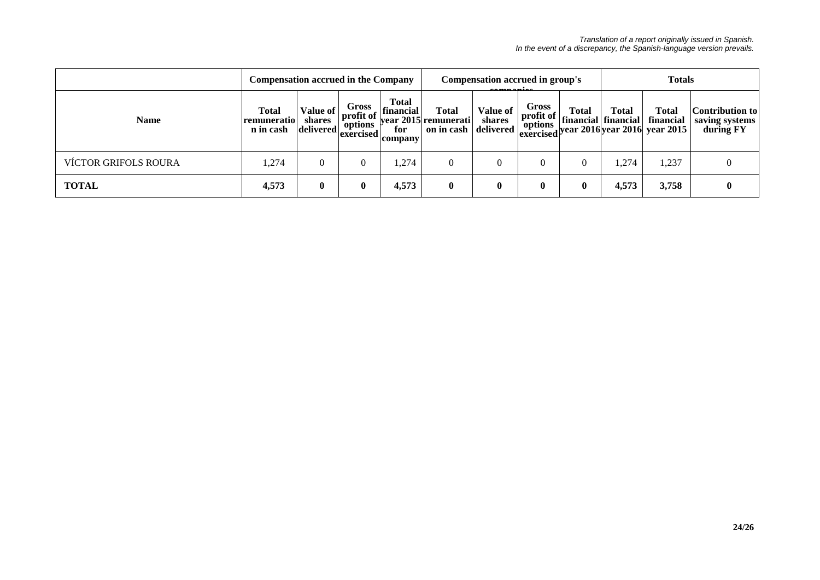|                             | <b>Compensation accrued in the Company</b> |                                 |                                                           | Compensation accrued in group's<br><u>aamaaniaa</u> |                                                    |                                        |                                                      | <b>Totals</b> |                                     |                                                                                    |                                                |
|-----------------------------|--------------------------------------------|---------------------------------|-----------------------------------------------------------|-----------------------------------------------------|----------------------------------------------------|----------------------------------------|------------------------------------------------------|---------------|-------------------------------------|------------------------------------------------------------------------------------|------------------------------------------------|
| <b>Name</b>                 | Total<br>remuneratio<br>n in cash          | Value of<br>shares<br>delivered | Gross<br>$\frac{1}{2}$ profit of<br>options<br> exercised | <b>Total</b><br>financial<br>for<br>company         | <b>Total</b><br>year 2015 remunerati<br>on in cash | <b>Value of</b><br>shares<br>delivered | Gross<br>$\bf{profit} \; \bf{of} \;   \;$<br>options | Total         | <b>Total</b><br>financial financial | <b>Total</b><br>financial<br>$\frac{1}{2}$ exercised year 2016 year 2016 year 2015 | Contribution to<br>saving systems<br>during FY |
| <b>VÍCTOR GRIFOLS ROURA</b> | 1,274                                      | $\overline{0}$                  |                                                           | .274                                                |                                                    | $\Omega$                               |                                                      | 0             | ,274                                | ,237                                                                               | $\overline{0}$                                 |
| <b>TOTAL</b>                | 4,573                                      | $\bf{0}$                        | $\mathbf{0}$                                              | 4,573                                               | $\bf{0}$                                           | $\mathbf{0}$                           | $\bf{0}$                                             | $\bf{0}$      | 4,573                               | 3,758                                                                              | $\bf{0}$                                       |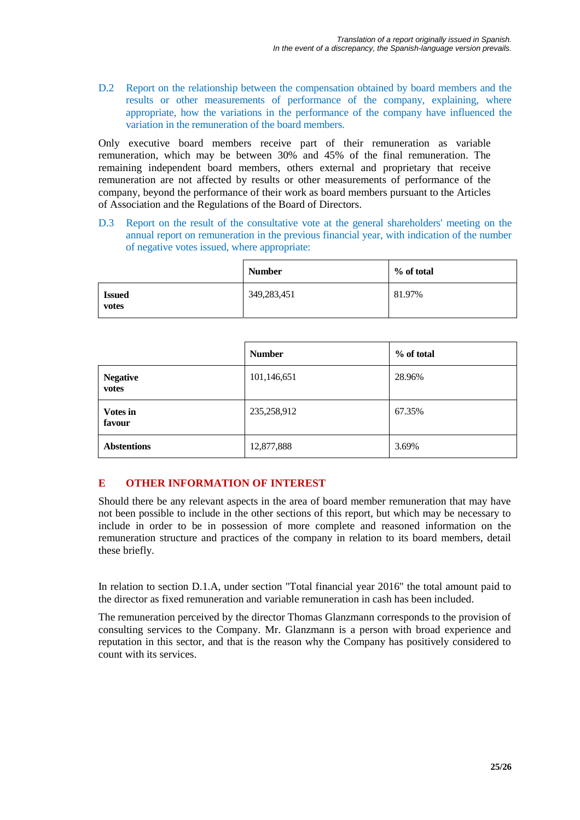D.2 Report on the relationship between the compensation obtained by board members and the results or other measurements of performance of the company, explaining, where appropriate, how the variations in the performance of the company have influenced the variation in the remuneration of the board members.

Only executive board members receive part of their remuneration as variable remuneration, which may be between 30% and 45% of the final remuneration. The remaining independent board members, others external and proprietary that receive remuneration are not affected by results or other measurements of performance of the company, beyond the performance of their work as board members pursuant to the Articles of Association and the Regulations of the Board of Directors.

D.3 Report on the result of the consultative vote at the general shareholders' meeting on the annual report on remuneration in the previous financial year, with indication of the number of negative votes issued, where appropriate:

|                        | <b>Number</b> | % of total |
|------------------------|---------------|------------|
| <b>Issued</b><br>votes | 349,283,451   | 81.97%     |

|                           | <b>Number</b> | % of total |
|---------------------------|---------------|------------|
| <b>Negative</b><br>votes  | 101,146,651   | 28.96%     |
| <b>Votes in</b><br>favour | 235,258,912   | 67.35%     |
| <b>Abstentions</b>        | 12,877,888    | 3.69%      |

# **E OTHER INFORMATION OF INTEREST**

Should there be any relevant aspects in the area of board member remuneration that may have not been possible to include in the other sections of this report, but which may be necessary to include in order to be in possession of more complete and reasoned information on the remuneration structure and practices of the company in relation to its board members, detail these briefly.

In relation to section D.1.A, under section "Total financial year 2016" the total amount paid to the director as fixed remuneration and variable remuneration in cash has been included.

The remuneration perceived by the director Thomas Glanzmann corresponds to the provision of consulting services to the Company. Mr. Glanzmann is a person with broad experience and reputation in this sector, and that is the reason why the Company has positively considered to count with its services.